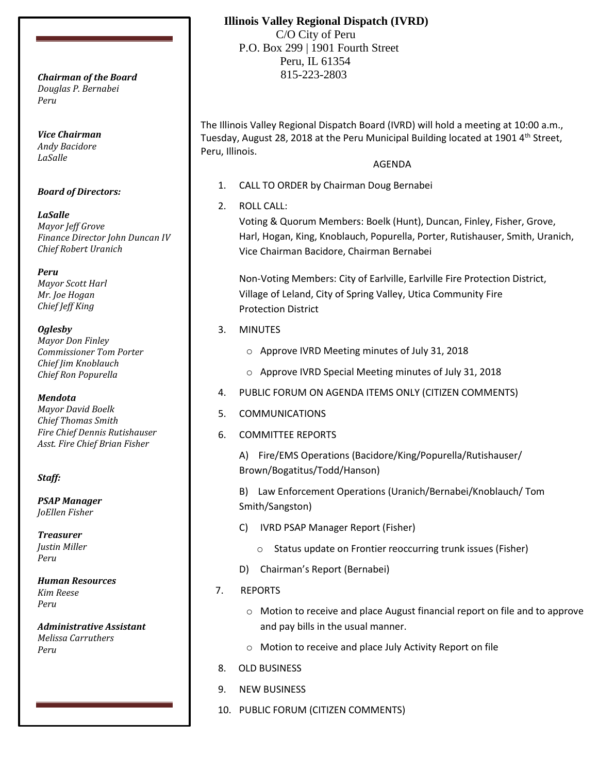*Douglas P. Bernabei Peru*

*Vice Chairman Andy Bacidore LaSalle*

### *Board of Directors:*

*LaSalle Mayor Jeff Grove Finance Director John Duncan IV Chief Robert Uranich*

*Peru Mayor Scott Harl Mr. Joe Hogan Chief Jeff King*

#### *Oglesby*

*Mayor Don Finley Commissioner Tom Porter Chief Jim Knoblauch Chief Ron Popurella*

#### *Mendota*

*Mayor David Boelk Chief Thomas Smith Fire Chief Dennis Rutishauser Asst. Fire Chief Brian Fisher*

### *Staff:*

*PSAP Manager JoEllen Fisher*

*Treasurer Justin Miller Peru*

*Human Resources Kim Reese Peru*

*Administrative Assistant Melissa Carruthers Peru*

# **Illinois Valley Regional Dispatch (IVRD)**

 C/O City of Peru P.O. Box 299 | 1901 Fourth Street Peru, IL 61354 815-223-2803 *Chairman of the Board*

> The Illinois Valley Regional Dispatch Board (IVRD) will hold a meeting at 10:00 a.m., Tuesday, August 28, 2018 at the Peru Municipal Building located at 1901 4<sup>th</sup> Street, Peru, Illinois.

### AGENDA

- 1. CALL TO ORDER by Chairman Doug Bernabei
- 2. ROLL CALL:

Voting & Quorum Members: Boelk (Hunt), Duncan, Finley, Fisher, Grove, Harl, Hogan, King, Knoblauch, Popurella, Porter, Rutishauser, Smith, Uranich, Vice Chairman Bacidore, Chairman Bernabei

Non-Voting Members: City of Earlville, Earlville Fire Protection District, Village of Leland, City of Spring Valley, Utica Community Fire Protection District

## 3. MINUTES

- o Approve IVRD Meeting minutes of July 31, 2018
- o Approve IVRD Special Meeting minutes of July 31, 2018
- 4. PUBLIC FORUM ON AGENDA ITEMS ONLY (CITIZEN COMMENTS)
- 5. COMMUNICATIONS
- 6. COMMITTEE REPORTS

A) Fire/EMS Operations (Bacidore/King/Popurella/Rutishauser/ Brown/Bogatitus/Todd/Hanson)

B) Law Enforcement Operations (Uranich/Bernabei/Knoblauch/ Tom Smith/Sangston)

- C) IVRD PSAP Manager Report (Fisher)
	- o Status update on Frontier reoccurring trunk issues (Fisher)
- D) Chairman's Report (Bernabei)
- 7. REPORTS
	- o Motion to receive and place August financial report on file and to approve and pay bills in the usual manner.
	- o Motion to receive and place July Activity Report on file
- 8. OLD BUSINESS
- 9. NEW BUSINESS
- 10. PUBLIC FORUM (CITIZEN COMMENTS)